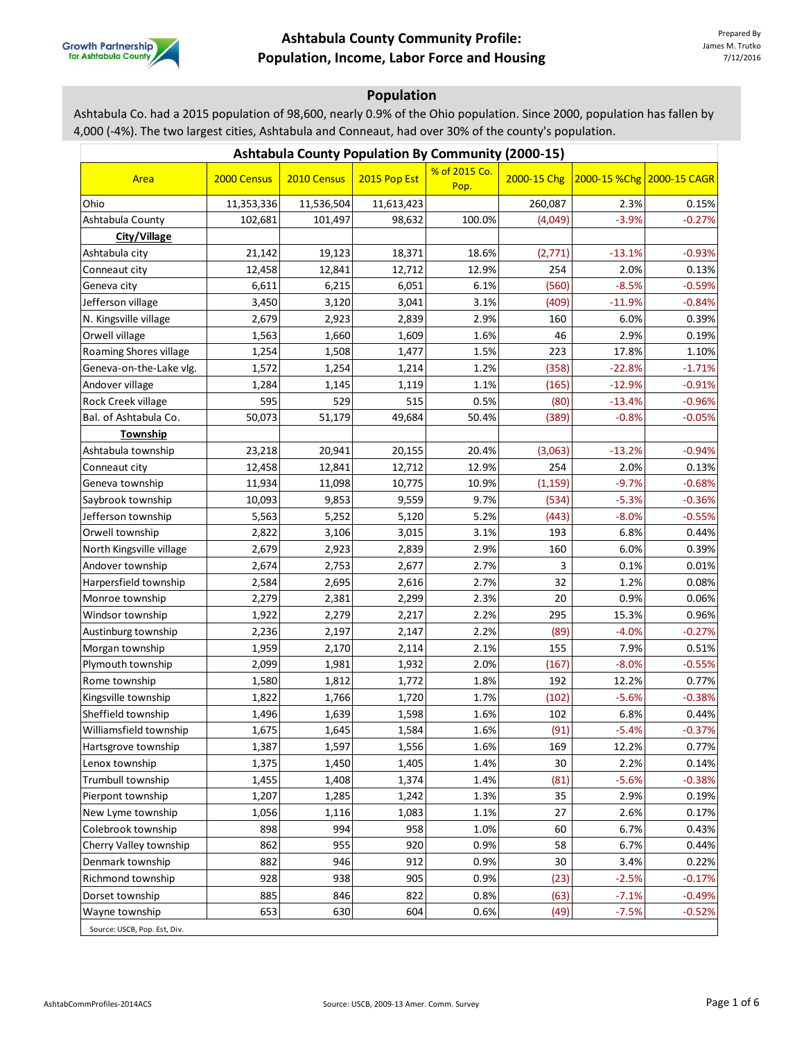

# **Population**

Ashtabula Co. had a 2015 population of 98,600, nearly 0.9% of the Ohio population. Since 2000, population has fallen by 4,000 (-4%). The two largest cities, Ashtabula and Conneaut, had over 30% of the county's population.

| <b>Ashtabula County Population By Community (2000-15)</b> |             |             |              |                       |             |          |                           |  |  |
|-----------------------------------------------------------|-------------|-------------|--------------|-----------------------|-------------|----------|---------------------------|--|--|
| Area                                                      | 2000 Census | 2010 Census | 2015 Pop Est | % of 2015 Co.<br>Pop. | 2000-15 Chg |          | 2000-15 %Chg 2000-15 CAGR |  |  |
| Ohio                                                      | 11,353,336  | 11,536,504  | 11,613,423   |                       | 260,087     | 2.3%     | 0.15%                     |  |  |
| Ashtabula County                                          | 102,681     | 101,497     | 98,632       | 100.0%                | (4,049)     | $-3.9%$  | $-0.27%$                  |  |  |
| City/Village                                              |             |             |              |                       |             |          |                           |  |  |
| Ashtabula city                                            | 21,142      | 19,123      | 18,371       | 18.6%                 | (2,771)     | $-13.1%$ | $-0.93%$                  |  |  |
| Conneaut city                                             | 12,458      | 12,841      | 12,712       | 12.9%                 | 254         | 2.0%     | 0.13%                     |  |  |
| Geneva city                                               | 6,611       | 6,215       | 6,051        | 6.1%                  | (560)       | $-8.5%$  | $-0.59%$                  |  |  |
| Jefferson village                                         | 3,450       | 3,120       | 3,041        | 3.1%                  | (409)       | $-11.9%$ | $-0.84%$                  |  |  |
| N. Kingsville village                                     | 2,679       | 2,923       | 2,839        | 2.9%                  | 160         | 6.0%     | 0.39%                     |  |  |
| Orwell village                                            | 1,563       | 1,660       | 1,609        | 1.6%                  | 46          | 2.9%     | 0.19%                     |  |  |
| Roaming Shores village                                    | 1,254       | 1,508       | 1,477        | 1.5%                  | 223         | 17.8%    | 1.10%                     |  |  |
| Geneva-on-the-Lake vlg.                                   | 1,572       | 1,254       | 1,214        | 1.2%                  | (358)       | $-22.8%$ | $-1.71%$                  |  |  |
| Andover village                                           | 1,284       | 1,145       | 1,119        | 1.1%                  | (165)       | $-12.9%$ | $-0.91%$                  |  |  |
| Rock Creek village                                        | 595         | 529         | 515          | 0.5%                  | (80)        | $-13.4%$ | $-0.96%$                  |  |  |
| Bal. of Ashtabula Co.                                     | 50,073      | 51,179      | 49,684       | 50.4%                 | (389)       | $-0.8%$  | $-0.05%$                  |  |  |
| Township                                                  |             |             |              |                       |             |          |                           |  |  |
| Ashtabula township                                        | 23,218      | 20,941      | 20,155       | 20.4%                 | (3,063)     | $-13.2%$ | $-0.94%$                  |  |  |
| Conneaut city                                             | 12,458      | 12,841      | 12,712       | 12.9%                 | 254         | 2.0%     | 0.13%                     |  |  |
| Geneva township                                           | 11,934      | 11,098      | 10,775       | 10.9%                 | (1, 159)    | $-9.7%$  | $-0.68%$                  |  |  |
| Saybrook township                                         | 10,093      | 9,853       | 9,559        | 9.7%                  | (534)       | $-5.3%$  | $-0.36%$                  |  |  |
| Jefferson township                                        | 5,563       | 5,252       | 5,120        | 5.2%                  | (443)       | $-8.0%$  | $-0.55%$                  |  |  |
| Orwell township                                           | 2,822       | 3,106       | 3,015        | 3.1%                  | 193         | 6.8%     | 0.44%                     |  |  |
| North Kingsville village                                  | 2,679       | 2,923       | 2,839        | 2.9%                  | 160         | 6.0%     | 0.39%                     |  |  |
| Andover township                                          | 2,674       | 2,753       | 2,677        | 2.7%                  | 3           | 0.1%     | 0.01%                     |  |  |
| Harpersfield township                                     | 2,584       | 2,695       | 2,616        | 2.7%                  | 32          | 1.2%     | 0.08%                     |  |  |
| Monroe township                                           | 2,279       | 2,381       | 2,299        | 2.3%                  | 20          | 0.9%     | 0.06%                     |  |  |
| Windsor township                                          | 1,922       | 2,279       | 2,217        | 2.2%                  | 295         | 15.3%    | 0.96%                     |  |  |
| Austinburg township                                       | 2,236       | 2,197       | 2,147        | 2.2%                  | (89)        | $-4.0%$  | $-0.27%$                  |  |  |
| Morgan township                                           | 1,959       | 2,170       | 2,114        | 2.1%                  | 155         | 7.9%     | 0.51%                     |  |  |
| Plymouth township                                         | 2,099       | 1,981       | 1,932        | 2.0%                  | (167)       | $-8.0%$  | $-0.55%$                  |  |  |
| Rome township                                             | 1,580       | 1,812       | 1,772        | 1.8%                  | 192         | 12.2%    | 0.77%                     |  |  |
| Kingsville township                                       | 1,822       | 1,766       | 1,720        | 1.7%                  | (102)       | $-5.6%$  | $-0.38%$                  |  |  |
| Sheffield township                                        | 1,496       | 1,639       | 1,598        | 1.6%                  | 102         | 6.8%     | 0.44%                     |  |  |
| Williamsfield township                                    | 1,675       | 1,645       | 1,584        | 1.6%                  | (91)        | $-5.4%$  | $-0.37%$                  |  |  |
| Hartsgrove township                                       | 1,387       | 1,597       | 1,556        | 1.6%                  | 169         | 12.2%    | 0.77%                     |  |  |
| Lenox township                                            | 1,375       | 1,450       | 1,405        | 1.4%                  | 30          | 2.2%     | 0.14%                     |  |  |
| Trumbull township                                         | 1,455       | 1,408       | 1,374        | 1.4%                  | (81)        | $-5.6%$  | $-0.38%$                  |  |  |
| Pierpont township                                         | 1,207       | 1,285       | 1,242        | 1.3%                  | 35          | 2.9%     | 0.19%                     |  |  |
| New Lyme township                                         | 1,056       | 1,116       | 1,083        | 1.1%                  | 27          | 2.6%     | 0.17%                     |  |  |
| Colebrook township                                        | 898         | 994         | 958          | 1.0%                  | 60          | 6.7%     | 0.43%                     |  |  |
| Cherry Valley township                                    | 862         | 955         | 920          | 0.9%                  | 58          | 6.7%     | 0.44%                     |  |  |
| Denmark township                                          | 882         | 946         | 912          | 0.9%                  | 30          | 3.4%     | 0.22%                     |  |  |
| Richmond township                                         | 928         | 938         | 905          | 0.9%                  | (23)        | $-2.5%$  | $-0.17%$                  |  |  |
| Dorset township                                           | 885         | 846         | 822          | 0.8%                  | (63)        | $-7.1%$  | $-0.49%$                  |  |  |
| Wayne township                                            | 653         | 630         | 604          | 0.6%                  | (49)        | $-7.5%$  | $-0.52%$                  |  |  |
| Source: USCB, Pop. Est, Div.                              |             |             |              |                       |             |          |                           |  |  |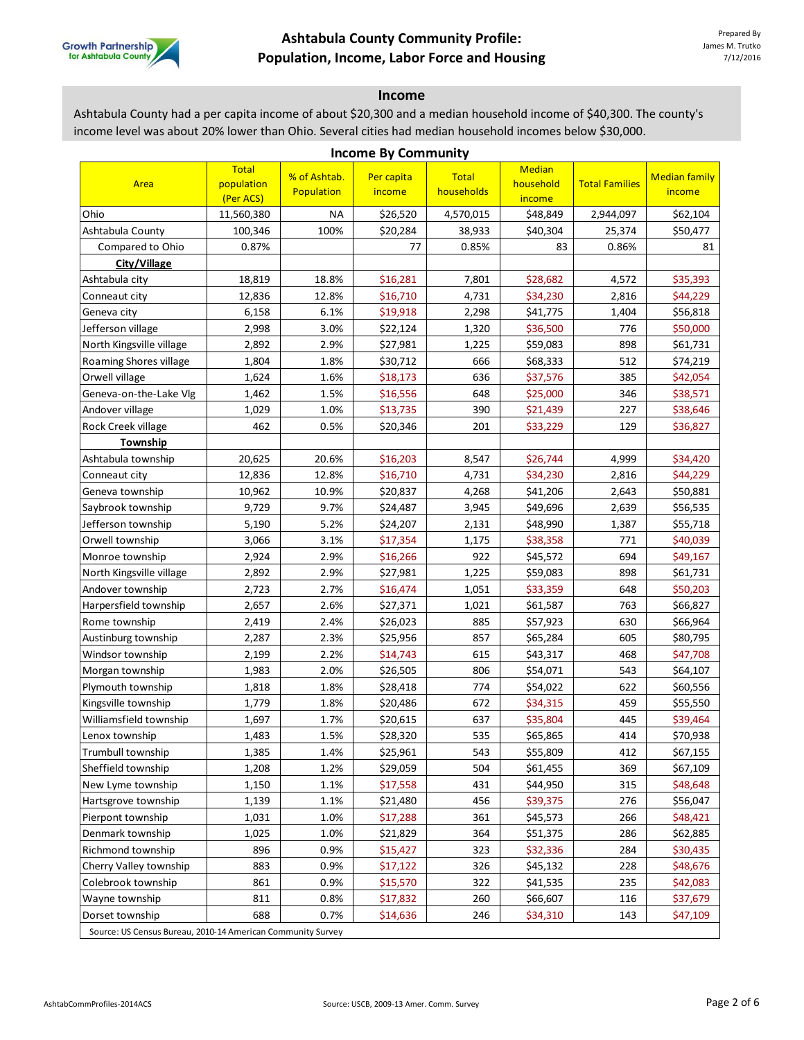

#### **Income**

Ashtabula County had a per capita income of about \$20,300 and a median household income of \$40,300. The county's income level was about 20% lower than Ohio. Several cities had median household incomes below \$30,000.

| <b>Income By Community</b>                                  |                                         |                            |                      |                            |                                      |                       |                                |  |  |
|-------------------------------------------------------------|-----------------------------------------|----------------------------|----------------------|----------------------------|--------------------------------------|-----------------------|--------------------------------|--|--|
| Area                                                        | <b>Total</b><br>population<br>(Per ACS) | % of Ashtab.<br>Population | Per capita<br>income | <b>Total</b><br>households | <b>Median</b><br>household<br>income | <b>Total Families</b> | <b>Median family</b><br>income |  |  |
| Ohio                                                        | 11,560,380                              | NA                         | \$26,520             | 4,570,015                  | \$48,849                             | 2,944,097             | \$62,104                       |  |  |
| Ashtabula County                                            | 100,346                                 | 100%                       | \$20,284             | 38,933                     | \$40,304                             | 25,374                | \$50,477                       |  |  |
| Compared to Ohio                                            | 0.87%                                   |                            | 77                   | 0.85%                      | 83                                   | 0.86%                 | 81                             |  |  |
| City/Village                                                |                                         |                            |                      |                            |                                      |                       |                                |  |  |
| Ashtabula city                                              | 18,819                                  | 18.8%                      | \$16,281             | 7,801                      | \$28,682                             | 4,572                 | \$35,393                       |  |  |
| Conneaut city                                               | 12,836                                  | 12.8%                      | \$16,710             | 4,731                      | \$34,230                             | 2,816                 | \$44,229                       |  |  |
| Geneva city                                                 | 6,158                                   | 6.1%                       | \$19,918             | 2,298                      | \$41,775                             | 1,404                 | \$56,818                       |  |  |
| Jefferson village                                           | 2,998                                   | 3.0%                       | \$22,124             | 1,320                      | \$36,500                             | 776                   | \$50,000                       |  |  |
| North Kingsville village                                    | 2,892                                   | 2.9%                       | \$27,981             | 1,225                      | \$59,083                             | 898                   | \$61,731                       |  |  |
| Roaming Shores village                                      | 1,804                                   | 1.8%                       | \$30,712             | 666                        | \$68,333                             | 512                   | \$74,219                       |  |  |
| Orwell village                                              | 1,624                                   | 1.6%                       | \$18,173             | 636                        | \$37,576                             | 385                   | \$42,054                       |  |  |
| Geneva-on-the-Lake Vlg                                      | 1,462                                   | 1.5%                       | \$16,556             | 648                        | \$25,000                             | 346                   | \$38,571                       |  |  |
| Andover village                                             | 1,029                                   | 1.0%                       | \$13,735             | 390                        | \$21,439                             | 227                   | \$38,646                       |  |  |
| Rock Creek village                                          | 462                                     | 0.5%                       | \$20,346             | 201                        | \$33,229                             | 129                   | \$36,827                       |  |  |
| Township                                                    |                                         |                            |                      |                            |                                      |                       |                                |  |  |
| Ashtabula township                                          | 20,625                                  | 20.6%                      | \$16,203             | 8,547                      | \$26,744                             | 4,999                 | \$34,420                       |  |  |
| Conneaut city                                               | 12,836                                  | 12.8%                      | \$16,710             | 4,731                      | \$34,230                             | 2,816                 | \$44,229                       |  |  |
| Geneva township                                             | 10,962                                  | 10.9%                      | \$20,837             | 4,268                      | \$41,206                             | 2,643                 | \$50,881                       |  |  |
| Saybrook township                                           | 9,729                                   | 9.7%                       | \$24,487             | 3,945                      | \$49,696                             | 2,639                 | \$56,535                       |  |  |
| Jefferson township                                          | 5,190                                   | 5.2%                       | \$24,207             | 2,131                      | \$48,990                             | 1,387                 | \$55,718                       |  |  |
| Orwell township                                             | 3,066                                   | 3.1%                       | \$17,354             | 1,175                      | \$38,358                             | 771                   | \$40,039                       |  |  |
| Monroe township                                             | 2,924                                   | 2.9%                       | \$16,266             | 922                        | \$45,572                             | 694                   | \$49,167                       |  |  |
| North Kingsville village                                    | 2,892                                   | 2.9%                       | \$27,981             | 1,225                      | \$59,083                             | 898                   | \$61,731                       |  |  |
| Andover township                                            | 2,723                                   | 2.7%                       | \$16,474             | 1,051                      | \$33,359                             | 648                   | \$50,203                       |  |  |
| Harpersfield township                                       | 2,657                                   | 2.6%                       | \$27,371             | 1,021                      | \$61,587                             | 763                   | \$66,827                       |  |  |
| Rome township                                               | 2,419                                   | 2.4%                       | \$26,023             | 885                        | \$57,923                             | 630                   | \$66,964                       |  |  |
| Austinburg township                                         | 2,287                                   | 2.3%                       | \$25,956             | 857                        | \$65,284                             | 605                   | \$80,795                       |  |  |
| Windsor township                                            | 2,199                                   | 2.2%                       | \$14,743             | 615                        | \$43,317                             | 468                   | \$47,708                       |  |  |
| Morgan township                                             | 1,983                                   | 2.0%                       | \$26,505             | 806                        | \$54,071                             | 543                   | \$64,107                       |  |  |
| Plymouth township                                           | 1,818                                   | 1.8%                       | \$28,418             | 774                        | \$54,022                             | 622                   | \$60,556                       |  |  |
| Kingsville township                                         | 1,779                                   | 1.8%                       | \$20,486             | 672                        | \$34,315                             | 459                   | \$55,550                       |  |  |
| Williamsfield township                                      | 1,697                                   | 1.7%                       | \$20,615             | 637                        | \$35,804                             | 445                   | \$39,464                       |  |  |
| Lenox township                                              | 1,483                                   | 1.5%                       | \$28,320             | 535                        | \$65,865                             | 414                   | \$70,938                       |  |  |
| Trumbull township                                           | 1,385                                   | 1.4%                       | \$25,961             | 543                        | \$55,809                             | 412                   | \$67,155                       |  |  |
| Sheffield township                                          | 1,208                                   | 1.2%                       | \$29,059             | 504                        | \$61,455                             | 369                   | \$67,109                       |  |  |
| New Lyme township                                           | 1,150                                   | 1.1%                       | \$17,558             | 431                        | \$44,950                             | 315                   | \$48,648                       |  |  |
| Hartsgrove township                                         | 1,139                                   | 1.1%                       | \$21,480             | 456                        | \$39,375                             | 276                   | \$56,047                       |  |  |
| Pierpont township                                           | 1,031                                   | 1.0%                       | \$17,288             | 361                        | \$45,573                             | 266                   | \$48,421                       |  |  |
| Denmark township                                            | 1,025                                   | 1.0%                       | \$21,829             | 364                        | \$51,375                             | 286                   | \$62,885                       |  |  |
| Richmond township                                           | 896                                     | 0.9%                       | \$15,427             | 323                        | \$32,336                             | 284                   | \$30,435                       |  |  |
| Cherry Valley township                                      | 883                                     | 0.9%                       | \$17,122             | 326                        | \$45,132                             | 228                   | \$48,676                       |  |  |
| Colebrook township                                          | 861                                     | 0.9%                       | \$15,570             | 322                        | \$41,535                             | 235                   | \$42,083                       |  |  |
| Wayne township                                              | 811                                     | 0.8%                       | \$17,832             | 260                        | \$66,607                             | 116                   | \$37,679                       |  |  |
| Dorset township                                             | 688                                     | 0.7%                       | \$14,636             | 246                        | \$34,310                             | 143                   | \$47,109                       |  |  |
| Source: US Census Bureau, 2010-14 American Community Survey |                                         |                            |                      |                            |                                      |                       |                                |  |  |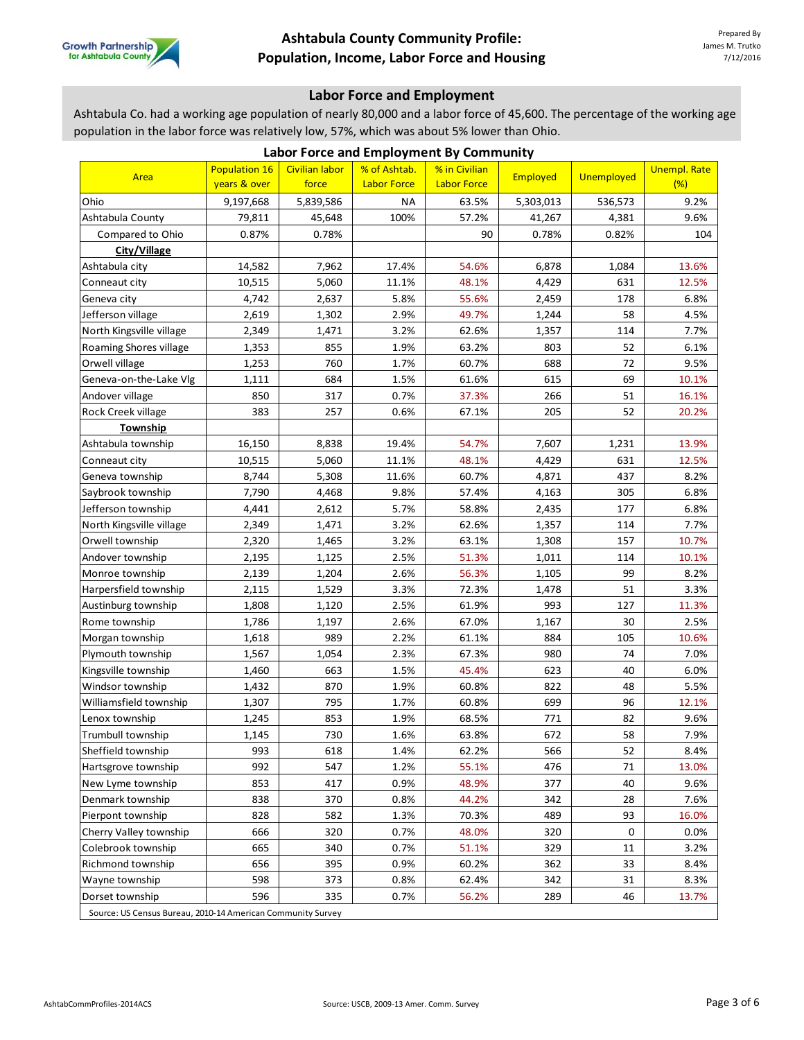

### **Labor Force and Employment**

Ashtabula Co. had a working age population of nearly 80,000 and a labor force of 45,600. The percentage of the working age population in the labor force was relatively low, 57%, which was about 5% lower than Ohio.

| reparation in the labor force was relatively folly <i>5176</i> , which was about 578 fonci than<br>Labor Force and Employment By Community |                                      |                                |                                    |                                     |           |            |                            |  |  |
|--------------------------------------------------------------------------------------------------------------------------------------------|--------------------------------------|--------------------------------|------------------------------------|-------------------------------------|-----------|------------|----------------------------|--|--|
| Area                                                                                                                                       | <b>Population 16</b><br>years & over | <b>Civilian labor</b><br>force | % of Ashtab.<br><b>Labor Force</b> | % in Civilian<br><b>Labor Force</b> | Employed  | Unemployed | <b>Unempl. Rate</b><br>(%) |  |  |
| Ohio                                                                                                                                       | 9,197,668                            | 5,839,586                      | <b>NA</b>                          | 63.5%                               | 5,303,013 | 536,573    | 9.2%                       |  |  |
| Ashtabula County                                                                                                                           | 79,811                               | 45,648                         | 100%                               | 57.2%                               | 41,267    | 4,381      | 9.6%                       |  |  |
| Compared to Ohio                                                                                                                           | 0.87%                                | 0.78%                          |                                    | 90                                  | 0.78%     | 0.82%      | 104                        |  |  |
| City/Village                                                                                                                               |                                      |                                |                                    |                                     |           |            |                            |  |  |
| Ashtabula city                                                                                                                             | 14,582                               | 7,962                          | 17.4%                              | 54.6%                               | 6,878     | 1,084      | 13.6%                      |  |  |
| Conneaut city                                                                                                                              | 10,515                               | 5,060                          | 11.1%                              | 48.1%                               | 4,429     | 631        | 12.5%                      |  |  |
| Geneva city                                                                                                                                | 4,742                                | 2,637                          | 5.8%                               | 55.6%                               | 2,459     | 178        | 6.8%                       |  |  |
| Jefferson village                                                                                                                          | 2,619                                | 1,302                          | 2.9%                               | 49.7%                               | 1,244     | 58         | 4.5%                       |  |  |
| North Kingsville village                                                                                                                   | 2,349                                | 1,471                          | 3.2%                               | 62.6%                               | 1,357     | 114        | 7.7%                       |  |  |
| Roaming Shores village                                                                                                                     | 1,353                                | 855                            | 1.9%                               | 63.2%                               | 803       | 52         | 6.1%                       |  |  |
| Orwell village                                                                                                                             | 1,253                                | 760                            | 1.7%                               | 60.7%                               | 688       | 72         | 9.5%                       |  |  |
| Geneva-on-the-Lake Vlg                                                                                                                     | 1,111                                | 684                            | 1.5%                               | 61.6%                               | 615       | 69         | 10.1%                      |  |  |
| Andover village                                                                                                                            | 850                                  | 317                            | 0.7%                               | 37.3%                               | 266       | 51         | 16.1%                      |  |  |
| Rock Creek village                                                                                                                         | 383                                  | 257                            | 0.6%                               | 67.1%                               | 205       | 52         | 20.2%                      |  |  |
| Township                                                                                                                                   |                                      |                                |                                    |                                     |           |            |                            |  |  |
| Ashtabula township                                                                                                                         | 16,150                               | 8,838                          | 19.4%                              | 54.7%                               | 7,607     | 1,231      | 13.9%                      |  |  |
| Conneaut city                                                                                                                              | 10,515                               | 5,060                          | 11.1%                              | 48.1%                               | 4,429     | 631        | 12.5%                      |  |  |
| Geneva township                                                                                                                            | 8,744                                | 5,308                          | 11.6%                              | 60.7%                               | 4,871     | 437        | 8.2%                       |  |  |
| Saybrook township                                                                                                                          | 7,790                                | 4,468                          | 9.8%                               | 57.4%                               | 4,163     | 305        | 6.8%                       |  |  |
| Jefferson township                                                                                                                         | 4,441                                | 2,612                          | 5.7%                               | 58.8%                               | 2,435     | 177        | 6.8%                       |  |  |
| North Kingsville village                                                                                                                   | 2,349                                | 1,471                          | 3.2%                               | 62.6%                               | 1,357     | 114        | 7.7%                       |  |  |
| Orwell township                                                                                                                            | 2,320                                | 1,465                          | 3.2%                               | 63.1%                               | 1,308     | 157        | 10.7%                      |  |  |
| Andover township                                                                                                                           | 2,195                                | 1,125                          | 2.5%                               | 51.3%                               | 1,011     | 114        | 10.1%                      |  |  |
| Monroe township                                                                                                                            | 2,139                                | 1,204                          | 2.6%                               | 56.3%                               | 1,105     | 99         | 8.2%                       |  |  |
| Harpersfield township                                                                                                                      | 2,115                                | 1,529                          | 3.3%                               | 72.3%                               | 1,478     | 51         | 3.3%                       |  |  |
| Austinburg township                                                                                                                        | 1,808                                | 1,120                          | 2.5%                               | 61.9%                               | 993       | 127        | 11.3%                      |  |  |
| Rome township                                                                                                                              | 1,786                                | 1,197                          | 2.6%                               | 67.0%                               | 1,167     | 30         | 2.5%                       |  |  |
| Morgan township                                                                                                                            | 1,618                                | 989                            | 2.2%                               | 61.1%                               | 884       | 105        | 10.6%                      |  |  |
| Plymouth township                                                                                                                          | 1,567                                | 1,054                          | 2.3%                               | 67.3%                               | 980       | 74         | 7.0%                       |  |  |
| Kingsville township                                                                                                                        | 1,460                                | 663                            | 1.5%                               | 45.4%                               | 623       | 40         | 6.0%                       |  |  |
| Windsor township                                                                                                                           | 1,432                                | 870                            | 1.9%                               | 60.8%                               | 822       | 48         | 5.5%                       |  |  |
| Williamsfield township                                                                                                                     | 1,307                                | 795                            | 1.7%                               | 60.8%                               | 699       | 96         | 12.1%                      |  |  |
| Lenox township                                                                                                                             | 1,245                                | 853                            | 1.9%                               | 68.5%                               | 771       | 82         | 9.6%                       |  |  |
| Trumbull township                                                                                                                          | 1,145                                | 730                            | 1.6%                               | 63.8%                               | 672       | 58         | 7.9%                       |  |  |
| Sheffield township                                                                                                                         | 993                                  | 618                            | 1.4%                               | 62.2%                               | 566       | 52         | 8.4%                       |  |  |
| Hartsgrove township                                                                                                                        | 992                                  | 547                            | 1.2%                               | 55.1%                               | 476       | 71         | 13.0%                      |  |  |
| New Lyme township                                                                                                                          | 853                                  | 417                            | 0.9%                               | 48.9%                               | 377       | 40         | 9.6%                       |  |  |
| Denmark township                                                                                                                           | 838                                  | 370                            | 0.8%                               | 44.2%                               | 342       | 28         | 7.6%                       |  |  |
| Pierpont township                                                                                                                          | 828                                  | 582                            | 1.3%                               | 70.3%                               | 489       | 93         | 16.0%                      |  |  |
| Cherry Valley township                                                                                                                     | 666                                  | 320                            | 0.7%                               | 48.0%                               | 320       | 0          | 0.0%                       |  |  |
| Colebrook township                                                                                                                         | 665                                  | 340                            | 0.7%                               | 51.1%                               | 329       | 11         | 3.2%                       |  |  |
| Richmond township                                                                                                                          | 656                                  | 395                            | 0.9%                               | 60.2%                               | 362       | 33         | 8.4%                       |  |  |
| Wayne township                                                                                                                             | 598                                  | 373                            | 0.8%                               | 62.4%                               | 342       | 31         | 8.3%                       |  |  |
| Dorset township                                                                                                                            | 596                                  | 335                            | 0.7%                               | 56.2%                               | 289       | 46         | 13.7%                      |  |  |
| Source: US Census Bureau, 2010-14 American Community Survey                                                                                |                                      |                                |                                    |                                     |           |            |                            |  |  |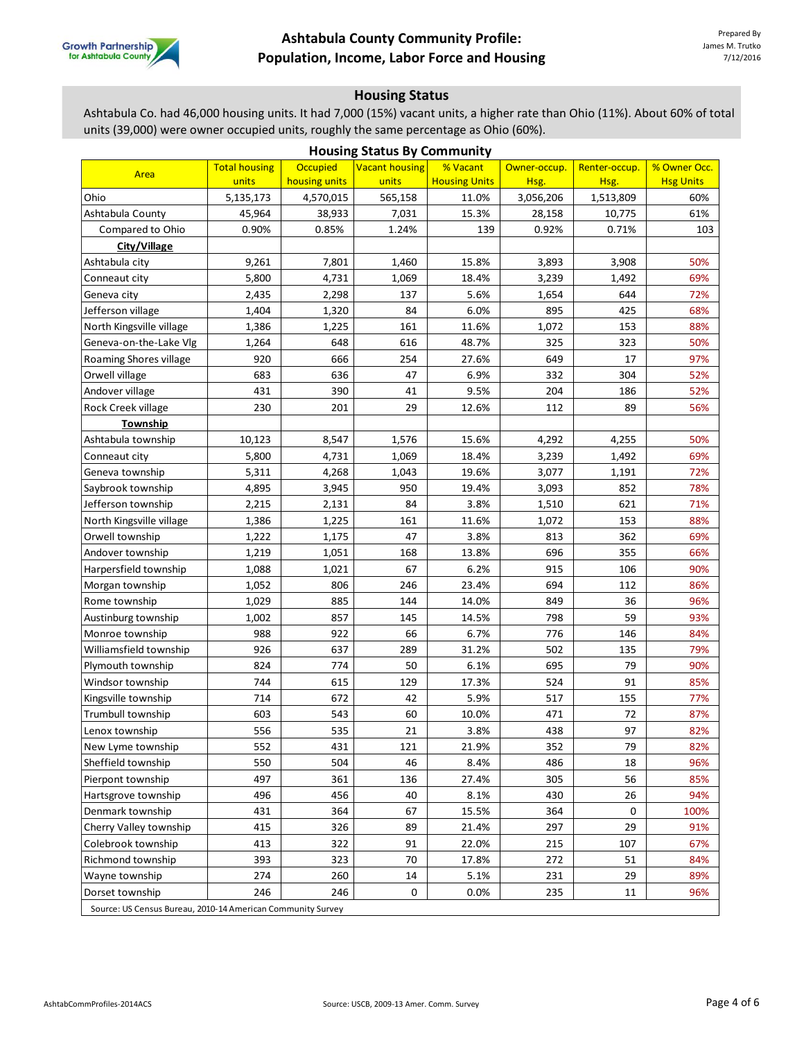

### **Housing Status**

Ashtabula Co. had 46,000 housing units. It had 7,000 (15%) vacant units, a higher rate than Ohio (11%). About 60% of total units (39,000) were owner occupied units, roughly the same percentage as Ohio (60%).

| <b>Housing Status By Community</b>                          |                      |                 |                       |                      |              |               |                  |  |  |
|-------------------------------------------------------------|----------------------|-----------------|-----------------------|----------------------|--------------|---------------|------------------|--|--|
| Area                                                        | <b>Total housing</b> | <b>Occupied</b> | <b>Vacant housing</b> | % Vacant             | Owner-occup. | Renter-occup. | % Owner Occ.     |  |  |
|                                                             | units                | housing units   | units                 | <b>Housing Units</b> | Hsg.         | Hsg.          | <b>Hsg Units</b> |  |  |
| Ohio                                                        | 5,135,173            | 4,570,015       | 565,158               | 11.0%                | 3,056,206    | 1,513,809     | 60%              |  |  |
| Ashtabula County                                            | 45,964               | 38,933          | 7,031                 | 15.3%                | 28,158       | 10,775        | 61%              |  |  |
| Compared to Ohio                                            | 0.90%                | 0.85%           | 1.24%                 | 139                  | 0.92%        | 0.71%         | 103              |  |  |
| City/Village                                                |                      |                 |                       |                      |              |               |                  |  |  |
| Ashtabula city                                              | 9,261                | 7,801           | 1,460                 | 15.8%                | 3,893        | 3,908         | 50%              |  |  |
| Conneaut city                                               | 5.800                | 4,731           | 1,069                 | 18.4%                | 3,239        | 1,492         | 69%              |  |  |
| Geneva city                                                 | 2,435                | 2,298           | 137                   | 5.6%                 | 1,654        | 644           | 72%              |  |  |
| Jefferson village                                           | 1,404                | 1,320           | 84                    | 6.0%                 | 895          | 425           | 68%              |  |  |
| North Kingsville village                                    | 1,386                | 1,225           | 161                   | 11.6%                | 1,072        | 153           | 88%              |  |  |
| Geneva-on-the-Lake Vlg                                      | 1,264                | 648             | 616                   | 48.7%                | 325          | 323           | 50%              |  |  |
| Roaming Shores village                                      | 920                  | 666             | 254                   | 27.6%                | 649          | 17            | 97%              |  |  |
| Orwell village                                              | 683                  | 636             | 47                    | 6.9%                 | 332          | 304           | 52%              |  |  |
| Andover village                                             | 431                  | 390             | 41                    | 9.5%                 | 204          | 186           | 52%              |  |  |
| Rock Creek village                                          | 230                  | 201             | 29                    | 12.6%                | 112          | 89            | 56%              |  |  |
| Township                                                    |                      |                 |                       |                      |              |               |                  |  |  |
| Ashtabula township                                          | 10,123               | 8,547           | 1,576                 | 15.6%                | 4,292        | 4,255         | 50%              |  |  |
| Conneaut city                                               | 5,800                | 4,731           | 1,069                 | 18.4%                | 3,239        | 1,492         | 69%              |  |  |
| Geneva township                                             | 5,311                | 4,268           | 1,043                 | 19.6%                | 3,077        | 1,191         | 72%              |  |  |
| Saybrook township                                           | 4,895                | 3,945           | 950                   | 19.4%                | 3,093        | 852           | 78%              |  |  |
| Jefferson township                                          | 2,215                | 2,131           | 84                    | 3.8%                 | 1,510        | 621           | 71%              |  |  |
| North Kingsville village                                    | 1,386                | 1,225           | 161                   | 11.6%                | 1,072        | 153           | 88%              |  |  |
| Orwell township                                             | 1,222                | 1,175           | 47                    | 3.8%                 | 813          | 362           | 69%              |  |  |
| Andover township                                            | 1,219                | 1,051           | 168                   | 13.8%                | 696          | 355           | 66%              |  |  |
| Harpersfield township                                       | 1,088                | 1,021           | 67                    | 6.2%                 | 915          | 106           | 90%              |  |  |
| Morgan township                                             | 1,052                | 806             | 246                   | 23.4%                | 694          | 112           | 86%              |  |  |
| Rome township                                               | 1,029                | 885             | 144                   | 14.0%                | 849          | 36            | 96%              |  |  |
| Austinburg township                                         | 1,002                | 857             | 145                   | 14.5%                | 798          | 59            | 93%              |  |  |
| Monroe township                                             | 988                  | 922             | 66                    | 6.7%                 | 776          | 146           | 84%              |  |  |
| Williamsfield township                                      | 926                  | 637             | 289                   | 31.2%                | 502          | 135           | 79%              |  |  |
| Plymouth township                                           | 824                  | 774             | 50                    | 6.1%                 | 695          | 79            | 90%              |  |  |
| Windsor township                                            | 744                  | 615             | 129                   | 17.3%                | 524          | 91            | 85%              |  |  |
| Kingsville township                                         | 714                  | 672             | 42                    | 5.9%                 | 517          | 155           | 77%              |  |  |
| Trumbull township                                           | 603                  | 543             | 60                    | 10.0%                | 471          | 72            | 87%              |  |  |
| Lenox township                                              | 556                  | 535             | 21                    | 3.8%                 | 438          | 97            | 82%              |  |  |
| New Lyme township                                           | 552                  | 431             | 121                   | 21.9%                | 352          | 79            | 82%              |  |  |
| Sheffield township                                          | 550                  | 504             | 46                    | 8.4%                 | 486          | 18            | 96%              |  |  |
| Pierpont township                                           | 497                  | 361             | 136                   | 27.4%                | 305          | 56            | 85%              |  |  |
| Hartsgrove township                                         | 496                  | 456             | 40                    | 8.1%                 | 430          | 26            | 94%              |  |  |
| Denmark township                                            | 431                  | 364             | 67                    | 15.5%                | 364          | 0             | 100%             |  |  |
| Cherry Valley township                                      | 415                  | 326             | 89                    | 21.4%                | 297          | 29            | 91%              |  |  |
| Colebrook township                                          | 413                  | 322             | 91                    | 22.0%                | 215          | 107           | 67%              |  |  |
| Richmond township                                           | 393                  | 323             | 70                    | 17.8%                | 272          | 51            | 84%              |  |  |
| Wayne township                                              | 274                  | 260             | 14                    | 5.1%                 | 231          | 29            | 89%              |  |  |
| Dorset township                                             | 246                  | 246             | 0                     | 0.0%                 | 235          | 11            | 96%              |  |  |
| Source: US Census Bureau, 2010-14 American Community Survey |                      |                 |                       |                      |              |               |                  |  |  |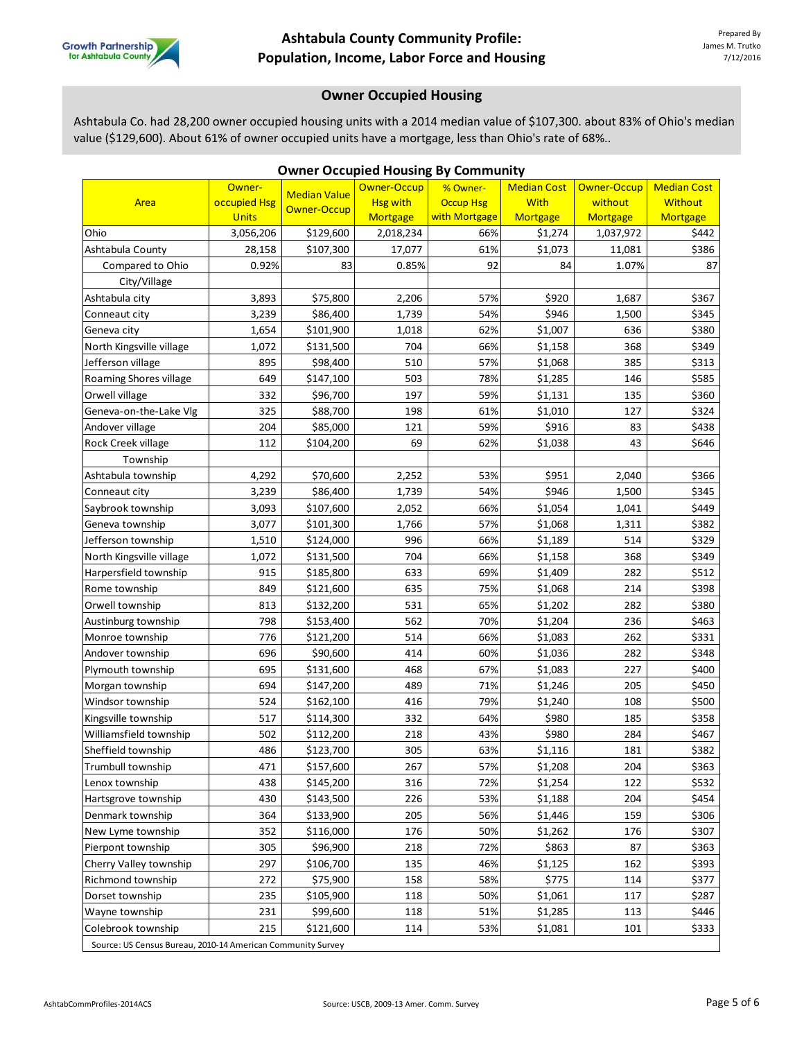

# **Owner Occupied Housing**

Ashtabula Co. had 28,200 owner occupied housing units with a 2014 median value of \$107,300. about 83% of Ohio's median value (\$129,600). About 61% of owner occupied units have a mortgage, less than Ohio's rate of 68%..

| <b>Owner Occupied Housing By Community</b>                  |              |                     |                 |                  |                    |             |                    |  |  |
|-------------------------------------------------------------|--------------|---------------------|-----------------|------------------|--------------------|-------------|--------------------|--|--|
|                                                             | Owner-       | <b>Median Value</b> | Owner-Occup     | % Owner-         | <b>Median Cost</b> | Owner-Occup | <b>Median Cost</b> |  |  |
| Area                                                        | occupied Hsg | Owner-Occup         | <b>Hsg with</b> | <b>Occup Hsg</b> | <b>With</b>        | without     | <b>Without</b>     |  |  |
|                                                             | <b>Units</b> |                     | <b>Mortgage</b> | with Mortgage    | Mortgage           | Mortgage    | Mortgage           |  |  |
| Ohio                                                        | 3,056,206    | \$129,600           | 2,018,234       | 66%              | \$1,274            | 1,037,972   | \$442              |  |  |
| Ashtabula County                                            | 28,158       | \$107,300           | 17,077          | 61%              | \$1,073            | 11,081      | \$386              |  |  |
| Compared to Ohio                                            | 0.92%        | 83                  | 0.85%           | 92               | 84                 | 1.07%       | 87                 |  |  |
| City/Village                                                |              |                     |                 |                  |                    |             |                    |  |  |
| Ashtabula city                                              | 3,893        | \$75,800            | 2,206           | 57%              | \$920              | 1,687       | \$367              |  |  |
| Conneaut city                                               | 3,239        | \$86,400            | 1,739           | 54%              | \$946              | 1,500       | \$345              |  |  |
| Geneva city                                                 | 1,654        | \$101,900           | 1,018           | 62%              | \$1,007            | 636         | \$380              |  |  |
| North Kingsville village                                    | 1,072        | \$131,500           | 704             | 66%              | \$1,158            | 368         | \$349              |  |  |
| Jefferson village                                           | 895          | \$98,400            | 510             | 57%              | \$1,068            | 385         | \$313              |  |  |
| Roaming Shores village                                      | 649          | \$147,100           | 503             | 78%              | \$1,285            | 146         | \$585              |  |  |
| Orwell village                                              | 332          | \$96,700            | 197             | 59%              | \$1,131            | 135         | \$360              |  |  |
| Geneva-on-the-Lake Vlg                                      | 325          | \$88,700            | 198             | 61%              | \$1,010            | 127         | \$324              |  |  |
| Andover village                                             | 204          | \$85,000            | 121             | 59%              | \$916              | 83          | \$438              |  |  |
| Rock Creek village                                          | 112          | \$104,200           | 69              | 62%              | \$1,038            | 43          | \$646              |  |  |
| Township                                                    |              |                     |                 |                  |                    |             |                    |  |  |
| Ashtabula township                                          | 4,292        | \$70,600            | 2,252           | 53%              | \$951              | 2,040       | \$366              |  |  |
| Conneaut city                                               | 3,239        | \$86,400            | 1,739           | 54%              | \$946              | 1,500       | \$345              |  |  |
| Saybrook township                                           | 3,093        | \$107,600           | 2,052           | 66%              | \$1,054            | 1,041       | \$449              |  |  |
| Geneva township                                             | 3,077        | \$101,300           | 1,766           | 57%              | \$1,068            | 1,311       | \$382              |  |  |
| Jefferson township                                          | 1,510        | \$124,000           | 996             | 66%              | \$1,189            | 514         | \$329              |  |  |
| North Kingsville village                                    | 1,072        | \$131,500           | 704             | 66%              | \$1,158            | 368         | \$349              |  |  |
| Harpersfield township                                       | 915          | \$185,800           | 633             | 69%              | \$1,409            | 282         | \$512              |  |  |
| Rome township                                               | 849          | \$121,600           | 635             | 75%              | \$1,068            | 214         | \$398              |  |  |
| Orwell township                                             | 813          | \$132,200           | 531             | 65%              | \$1,202            | 282         | \$380              |  |  |
| Austinburg township                                         | 798          | \$153,400           | 562             | 70%              | \$1,204            | 236         | \$463              |  |  |
| Monroe township                                             | 776          | \$121,200           | 514             | 66%              | \$1,083            | 262         | \$331              |  |  |
| Andover township                                            | 696          | \$90,600            | 414             | 60%              | \$1,036            | 282         | \$348              |  |  |
| Plymouth township                                           | 695          | \$131,600           | 468             | 67%              | \$1,083            | 227         | \$400              |  |  |
| Morgan township                                             | 694          | \$147,200           | 489             | 71%              | \$1,246            | 205         | \$450              |  |  |
| Windsor township                                            | 524          | \$162,100           | 416             | 79%              | \$1,240            | 108         | \$500              |  |  |
| Kingsville township                                         | 517          | \$114,300           | 332             | 64%              | \$980              | 185         | \$358              |  |  |
| Williamsfield township                                      | 502          | \$112,200           | 218             | 43%              | \$980              | 284         | \$467              |  |  |
| Sheffield township                                          | 486          | \$123,700           | 305             | 63%              | \$1,116            | 181         | \$382              |  |  |
| Trumbull township                                           | 471          | \$157,600           | 267             | 57%              | \$1,208            | 204         | \$363              |  |  |
| Lenox township                                              | 438          | \$145,200           | 316             | 72%              | \$1,254            | 122         | \$532              |  |  |
| Hartsgrove township                                         | 430          | \$143,500           | 226             | 53%              | \$1,188            | 204         | \$454              |  |  |
| Denmark township                                            | 364          | \$133,900           | 205             | 56%              | \$1,446            | 159         | \$306              |  |  |
| New Lyme township                                           | 352          | \$116,000           | 176             | 50%              | \$1,262            | 176         | \$307              |  |  |
| Pierpont township                                           | 305          | \$96,900            | 218             | 72%              | \$863              | 87          | \$363              |  |  |
| Cherry Valley township                                      | 297          | \$106,700           | 135             | 46%              | \$1,125            | 162         | \$393              |  |  |
| Richmond township                                           | 272          | \$75,900            | 158             | 58%              | \$775              | 114         | \$377              |  |  |
| Dorset township                                             | 235          | \$105,900           | 118             | 50%              | \$1,061            | 117         | \$287              |  |  |
| Wayne township                                              | 231          | \$99,600            | 118             | 51%              | \$1,285            | 113         | \$446              |  |  |
| Colebrook township                                          | 215          | \$121,600           | 114             | 53%              | \$1,081            | 101         | \$333              |  |  |
| Source: US Census Bureau, 2010-14 American Community Survey |              |                     |                 |                  |                    |             |                    |  |  |